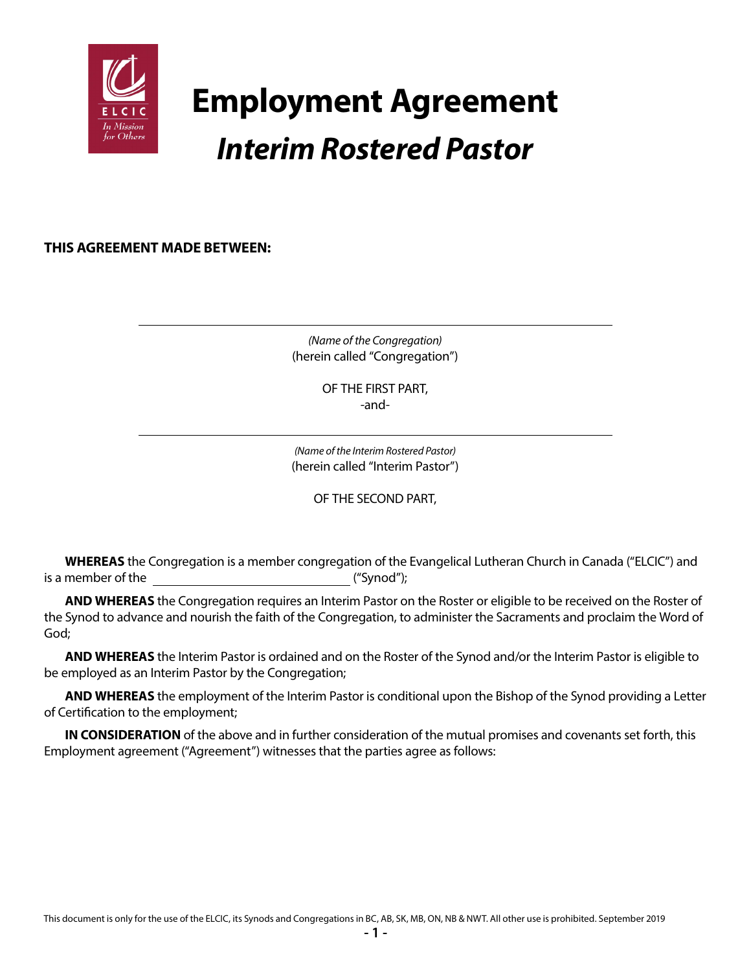

# **Employment Agreement** *Interim Rostered Pastor*

**THIS AGREEMENT MADE BETWEEN:**

*(Name of the Congregation)* (herein called "Congregation")

> OF THE FIRST PART, -and-

*(Name of the Interim Rostered Pastor)* (herein called "Interim Pastor")

OF THE SECOND PART,

**WHEREAS** the Congregation is a member congregation of the Evangelical Lutheran Church in Canada ("ELCIC") and is a member of the ("Synod");

**AND WHEREAS** the Congregation requires an Interim Pastor on the Roster or eligible to be received on the Roster of the Synod to advance and nourish the faith of the Congregation, to administer the Sacraments and proclaim the Word of God;

**AND WHEREAS** the Interim Pastor is ordained and on the Roster of the Synod and/or the Interim Pastor is eligible to be employed as an Interim Pastor by the Congregation;

**AND WHEREAS** the employment of the Interim Pastor is conditional upon the Bishop of the Synod providing a Letter of Certification to the employment;

**IN CONSIDERATION** of the above and in further consideration of the mutual promises and covenants set forth, this Employment agreement ("Agreement") witnesses that the parties agree as follows: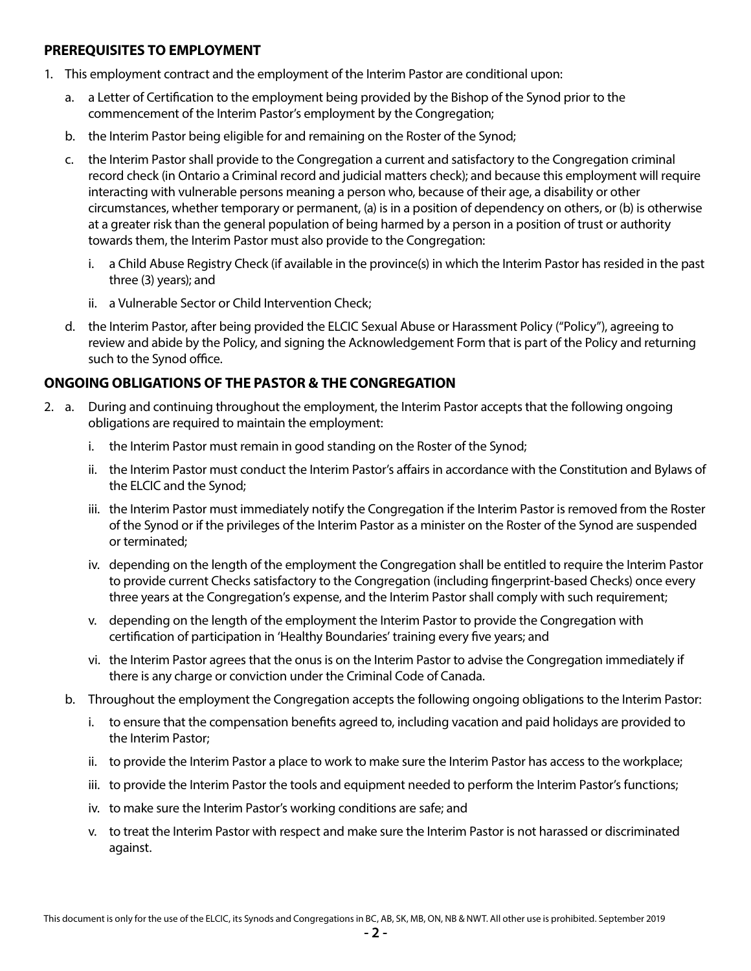## **PREREQUISITES TO EMPLOYMENT**

- 1. This employment contract and the employment of the Interim Pastor are conditional upon:
	- a. a Letter of Certification to the employment being provided by the Bishop of the Synod prior to the commencement of the Interim Pastor's employment by the Congregation;
	- b. the Interim Pastor being eligible for and remaining on the Roster of the Synod;
	- c. the Interim Pastor shall provide to the Congregation a current and satisfactory to the Congregation criminal record check (in Ontario a Criminal record and judicial matters check); and because this employment will require interacting with vulnerable persons meaning a person who, because of their age, a disability or other circumstances, whether temporary or permanent, (a) is in a position of dependency on others, or (b) is otherwise at a greater risk than the general population of being harmed by a person in a position of trust or authority towards them, the Interim Pastor must also provide to the Congregation:
		- i. a Child Abuse Registry Check (if available in the province(s) in which the Interim Pastor has resided in the past three (3) years); and
		- ii. a Vulnerable Sector or Child Intervention Check;
	- d. the Interim Pastor, after being provided the ELCIC Sexual Abuse or Harassment Policy ("Policy"), agreeing to review and abide by the Policy, and signing the Acknowledgement Form that is part of the Policy and returning such to the Synod office.

# **ONGOING OBLIGATIONS OF THE PASTOR & THE CONGREGATION**

- 2. a. During and continuing throughout the employment, the Interim Pastor accepts that the following ongoing obligations are required to maintain the employment:
	- i. the Interim Pastor must remain in good standing on the Roster of the Synod;
	- ii. the Interim Pastor must conduct the Interim Pastor's affairs in accordance with the Constitution and Bylaws of the ELCIC and the Synod;
	- iii. the Interim Pastor must immediately notify the Congregation if the Interim Pastor is removed from the Roster of the Synod or if the privileges of the Interim Pastor as a minister on the Roster of the Synod are suspended or terminated;
	- iv. depending on the length of the employment the Congregation shall be entitled to require the Interim Pastor to provide current Checks satisfactory to the Congregation (including fingerprint-based Checks) once every three years at the Congregation's expense, and the Interim Pastor shall comply with such requirement;
	- v. depending on the length of the employment the Interim Pastor to provide the Congregation with certification of participation in 'Healthy Boundaries' training every five years; and
	- vi. the Interim Pastor agrees that the onus is on the Interim Pastor to advise the Congregation immediately if there is any charge or conviction under the Criminal Code of Canada.
	- b. Throughout the employment the Congregation accepts the following ongoing obligations to the Interim Pastor:
		- i. to ensure that the compensation benefits agreed to, including vacation and paid holidays are provided to the Interim Pastor;
		- ii. to provide the Interim Pastor a place to work to make sure the Interim Pastor has access to the workplace;
		- iii. to provide the Interim Pastor the tools and equipment needed to perform the Interim Pastor's functions;
		- iv. to make sure the Interim Pastor's working conditions are safe; and
		- v. to treat the Interim Pastor with respect and make sure the Interim Pastor is not harassed or discriminated against.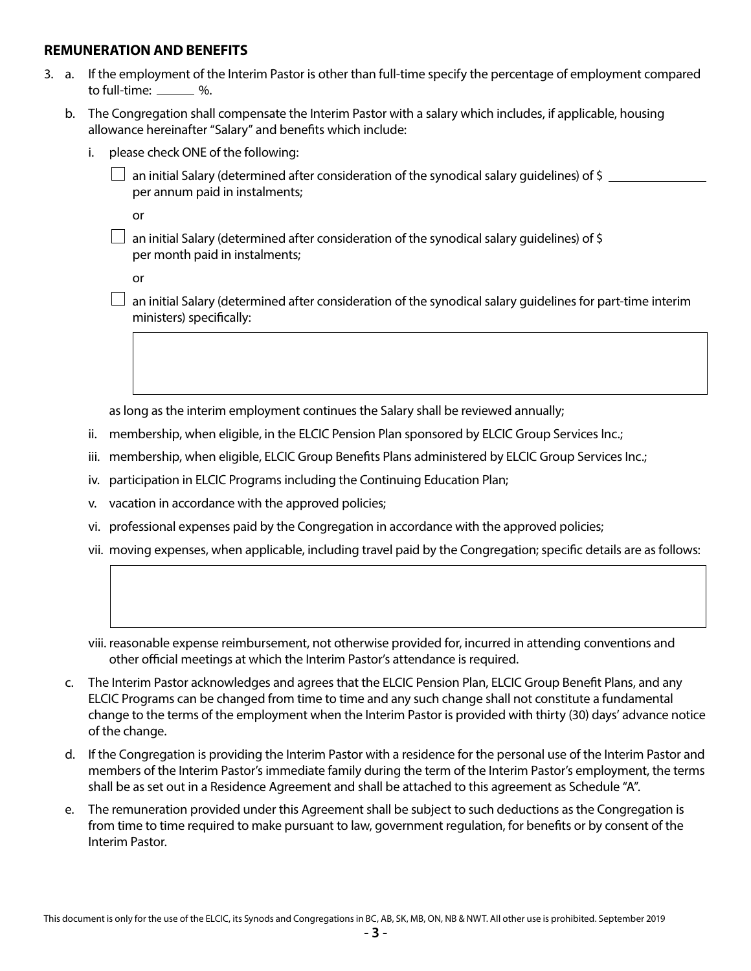## **REMUNERATION AND BENEFITS**

- 3. a. If the employment of the Interim Pastor is other than full-time specify the percentage of employment compared to full-time:  $\frac{1}{2}$ %.
	- b. The Congregation shall compensate the Interim Pastor with a salary which includes, if applicable, housing allowance hereinafter "Salary" and benefits which include:
		- i. please check ONE of the following:
			- an initial Salary (determined after consideration of the synodical salary quidelines) of \$ per annum paid in instalments;

or

 $\Box$  an initial Salary (determined after consideration of the synodical salary quidelines) of \$ per month paid in instalments;

or

 $\Box$  an initial Salary (determined after consideration of the synodical salary guidelines for part-time interim ministers) specifically:

as long as the interim employment continues the Salary shall be reviewed annually;

- ii. membership, when eligible, in the ELCIC Pension Plan sponsored by ELCIC Group Services Inc.;
- iii. membership, when eligible, ELCIC Group Benefits Plans administered by ELCIC Group Services Inc.;
- iv. participation in ELCIC Programs including the Continuing Education Plan;
- v. vacation in accordance with the approved policies;
- vi. professional expenses paid by the Congregation in accordance with the approved policies;
- vii. moving expenses, when applicable, including travel paid by the Congregation; specific details are as follows:

 viii. reasonable expense reimbursement, not otherwise provided for, incurred in attending conventions and other official meetings at which the Interim Pastor's attendance is required.

- c. The Interim Pastor acknowledges and agrees that the ELCIC Pension Plan, ELCIC Group Benefit Plans, and any ELCIC Programs can be changed from time to time and any such change shall not constitute a fundamental change to the terms of the employment when the Interim Pastor is provided with thirty (30) days' advance notice of the change.
- d. If the Congregation is providing the Interim Pastor with a residence for the personal use of the Interim Pastor and members of the Interim Pastor's immediate family during the term of the Interim Pastor's employment, the terms shall be as set out in a Residence Agreement and shall be attached to this agreement as Schedule "A".
- e. The remuneration provided under this Agreement shall be subject to such deductions as the Congregation is from time to time required to make pursuant to law, government regulation, for benefits or by consent of the Interim Pastor.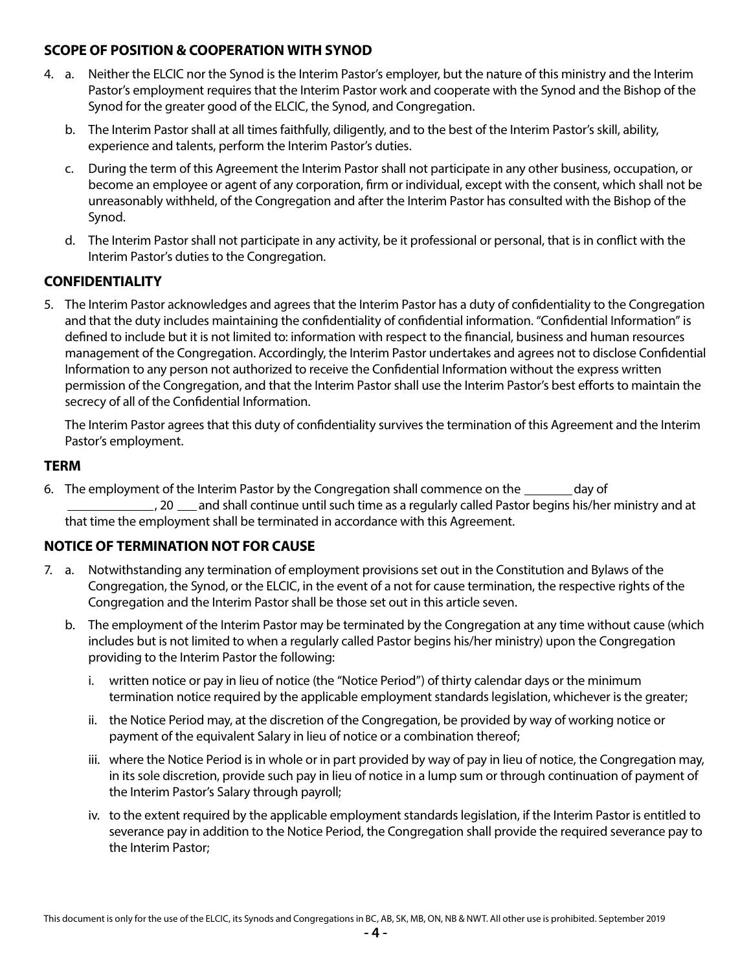## **SCOPE OF POSITION & COOPERATION WITH SYNOD**

- 4. a. Neither the ELCIC nor the Synod is the Interim Pastor's employer, but the nature of this ministry and the Interim Pastor's employment requires that the Interim Pastor work and cooperate with the Synod and the Bishop of the Synod for the greater good of the ELCIC, the Synod, and Congregation.
	- b. The Interim Pastor shall at all times faithfully, diligently, and to the best of the Interim Pastor's skill, ability, experience and talents, perform the Interim Pastor's duties.
	- c. During the term of this Agreement the Interim Pastor shall not participate in any other business, occupation, or become an employee or agent of any corporation, firm or individual, except with the consent, which shall not be unreasonably withheld, of the Congregation and after the Interim Pastor has consulted with the Bishop of the Synod.
	- d. The Interim Pastor shall not participate in any activity, be it professional or personal, that is in conflict with the Interim Pastor's duties to the Congregation.

# **CONFIDENTIALITY**

5. The Interim Pastor acknowledges and agrees that the Interim Pastor has a duty of confidentiality to the Congregation and that the duty includes maintaining the confidentiality of confidential information. "Confidential Information" is defined to include but it is not limited to: information with respect to the financial, business and human resources management of the Congregation. Accordingly, the Interim Pastor undertakes and agrees not to disclose Confidential Information to any person not authorized to receive the Confidential Information without the express written permission of the Congregation, and that the Interim Pastor shall use the Interim Pastor's best efforts to maintain the secrecy of all of the Confidential Information.

The Interim Pastor agrees that this duty of confidentiality survives the termination of this Agreement and the Interim Pastor's employment.

## **TERM**

6. The employment of the Interim Pastor by the Congregation shall commence on the <u>seconday</u> of <sub>-</sub>, 20 <sub>1</sub> and shall continue until such time as a regularly called Pastor begins his/her ministry and at that time the employment shall be terminated in accordance with this Agreement.

# **NOTICE OF TERMINATION NOT FOR CAUSE**

- 7. a. Notwithstanding any termination of employment provisions set out in the Constitution and Bylaws of the Congregation, the Synod, or the ELCIC, in the event of a not for cause termination, the respective rights of the Congregation and the Interim Pastor shall be those set out in this article seven.
	- b. The employment of the Interim Pastor may be terminated by the Congregation at any time without cause (which includes but is not limited to when a regularly called Pastor begins his/her ministry) upon the Congregation providing to the Interim Pastor the following:
		- i. written notice or pay in lieu of notice (the "Notice Period") of thirty calendar days or the minimum termination notice required by the applicable employment standards legislation, whichever is the greater;
		- ii. the Notice Period may, at the discretion of the Congregation, be provided by way of working notice or payment of the equivalent Salary in lieu of notice or a combination thereof;
		- iii. where the Notice Period is in whole or in part provided by way of pay in lieu of notice, the Congregation may, in its sole discretion, provide such pay in lieu of notice in a lump sum or through continuation of payment of the Interim Pastor's Salary through payroll;
		- iv. to the extent required by the applicable employment standards legislation, if the Interim Pastor is entitled to severance pay in addition to the Notice Period, the Congregation shall provide the required severance pay to the Interim Pastor;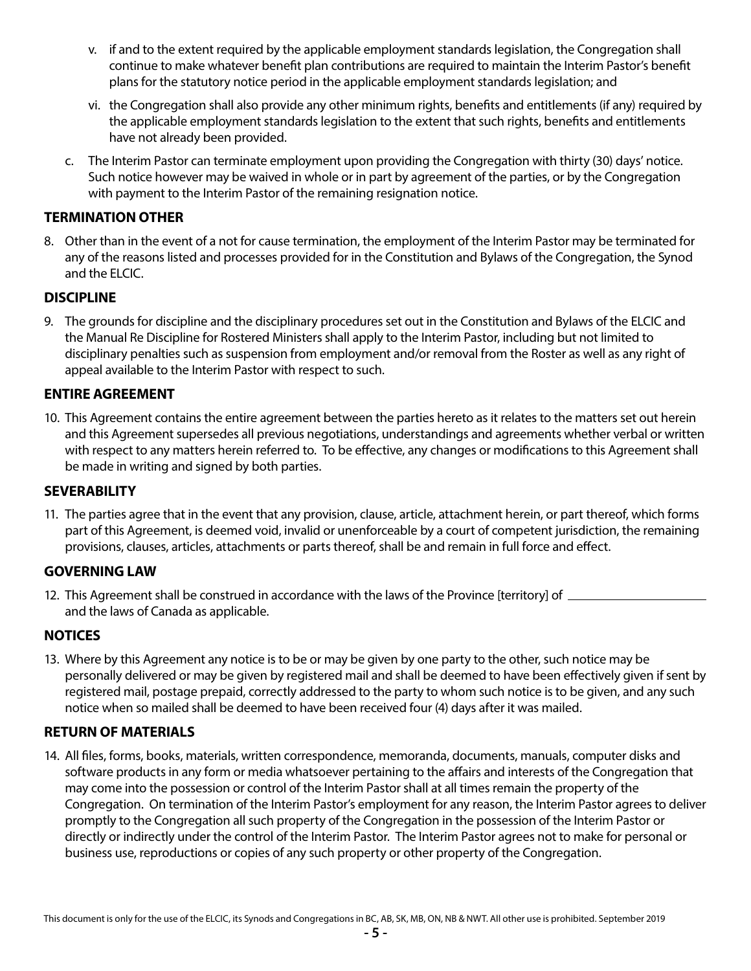- v. if and to the extent required by the applicable employment standards legislation, the Congregation shall continue to make whatever benefit plan contributions are required to maintain the Interim Pastor's benefit plans for the statutory notice period in the applicable employment standards legislation; and
- vi. the Congregation shall also provide any other minimum rights, benefits and entitlements (if any) required by the applicable employment standards legislation to the extent that such rights, benefits and entitlements have not already been provided.
- c. The Interim Pastor can terminate employment upon providing the Congregation with thirty (30) days' notice. Such notice however may be waived in whole or in part by agreement of the parties, or by the Congregation with payment to the Interim Pastor of the remaining resignation notice.

## **TERMINATION OTHER**

8. Other than in the event of a not for cause termination, the employment of the Interim Pastor may be terminated for any of the reasons listed and processes provided for in the Constitution and Bylaws of the Congregation, the Synod and the ELCIC.

## **DISCIPLINE**

9. The grounds for discipline and the disciplinary procedures set out in the Constitution and Bylaws of the ELCIC and the Manual Re Discipline for Rostered Ministers shall apply to the Interim Pastor, including but not limited to disciplinary penalties such as suspension from employment and/or removal from the Roster as well as any right of appeal available to the Interim Pastor with respect to such.

## **ENTIRE AGREEMENT**

10. This Agreement contains the entire agreement between the parties hereto as it relates to the matters set out herein and this Agreement supersedes all previous negotiations, understandings and agreements whether verbal or written with respect to any matters herein referred to. To be effective, any changes or modifications to this Agreement shall be made in writing and signed by both parties.

#### **SEVERABILITY**

11. The parties agree that in the event that any provision, clause, article, attachment herein, or part thereof, which forms part of this Agreement, is deemed void, invalid or unenforceable by a court of competent jurisdiction, the remaining provisions, clauses, articles, attachments or parts thereof, shall be and remain in full force and effect.

#### **GOVERNING LAW**

12. This Agreement shall be construed in accordance with the laws of the Province [territory] of and the laws of Canada as applicable.

#### **NOTICES**

13. Where by this Agreement any notice is to be or may be given by one party to the other, such notice may be personally delivered or may be given by registered mail and shall be deemed to have been effectively given if sent by registered mail, postage prepaid, correctly addressed to the party to whom such notice is to be given, and any such notice when so mailed shall be deemed to have been received four (4) days after it was mailed.

## **RETURN OF MATERIALS**

14. All files, forms, books, materials, written correspondence, memoranda, documents, manuals, computer disks and software products in any form or media whatsoever pertaining to the affairs and interests of the Congregation that may come into the possession or control of the Interim Pastor shall at all times remain the property of the Congregation. On termination of the Interim Pastor's employment for any reason, the Interim Pastor agrees to deliver promptly to the Congregation all such property of the Congregation in the possession of the Interim Pastor or directly or indirectly under the control of the Interim Pastor. The Interim Pastor agrees not to make for personal or business use, reproductions or copies of any such property or other property of the Congregation.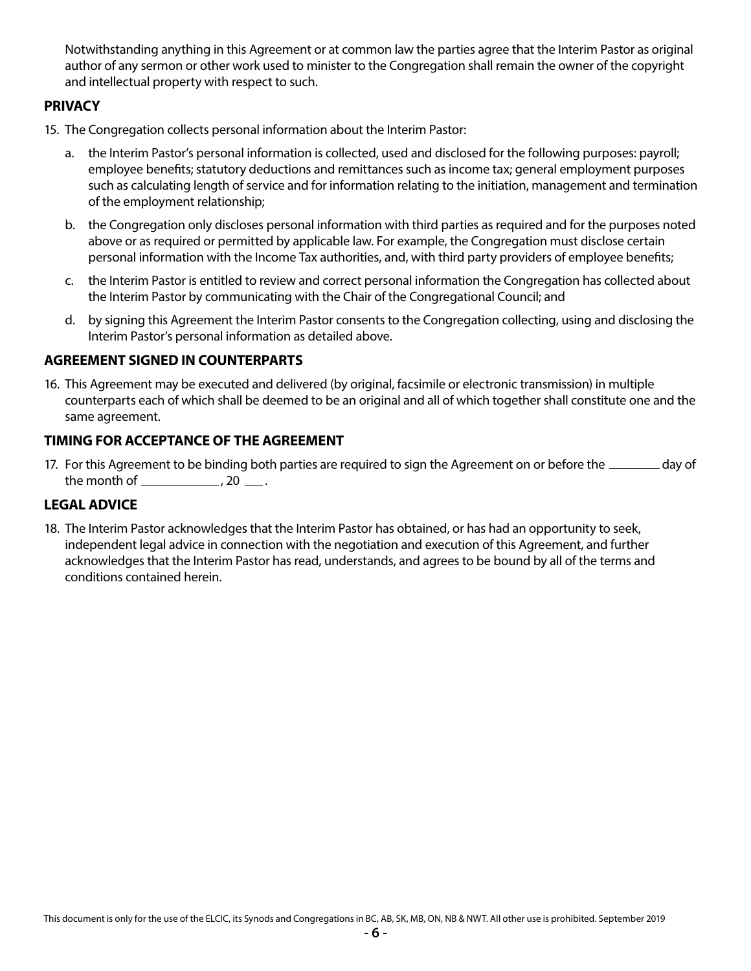Notwithstanding anything in this Agreement or at common law the parties agree that the Interim Pastor as original author of any sermon or other work used to minister to the Congregation shall remain the owner of the copyright and intellectual property with respect to such.

## **PRIVACY**

- 15. The Congregation collects personal information about the Interim Pastor:
	- a. the Interim Pastor's personal information is collected, used and disclosed for the following purposes: payroll; employee benefits; statutory deductions and remittances such as income tax; general employment purposes such as calculating length of service and for information relating to the initiation, management and termination of the employment relationship;
	- b. the Congregation only discloses personal information with third parties as required and for the purposes noted above or as required or permitted by applicable law. For example, the Congregation must disclose certain personal information with the Income Tax authorities, and, with third party providers of employee benefits;
	- c. the Interim Pastor is entitled to review and correct personal information the Congregation has collected about the Interim Pastor by communicating with the Chair of the Congregational Council; and
	- d. by signing this Agreement the Interim Pastor consents to the Congregation collecting, using and disclosing the Interim Pastor's personal information as detailed above.

## **AGREEMENT SIGNED IN COUNTERPARTS**

16. This Agreement may be executed and delivered (by original, facsimile or electronic transmission) in multiple counterparts each of which shall be deemed to be an original and all of which together shall constitute one and the same agreement.

#### **TIMING FOR ACCEPTANCE OF THE AGREEMENT**

17. For this Agreement to be binding both parties are required to sign the Agreement on or before the **suce and a** day of the month of  $\frac{1}{2}$ , 20  $\frac{1}{2}$ .

# **LEGAL ADVICE**

18. The Interim Pastor acknowledges that the Interim Pastor has obtained, or has had an opportunity to seek, independent legal advice in connection with the negotiation and execution of this Agreement, and further acknowledges that the Interim Pastor has read, understands, and agrees to be bound by all of the terms and conditions contained herein.